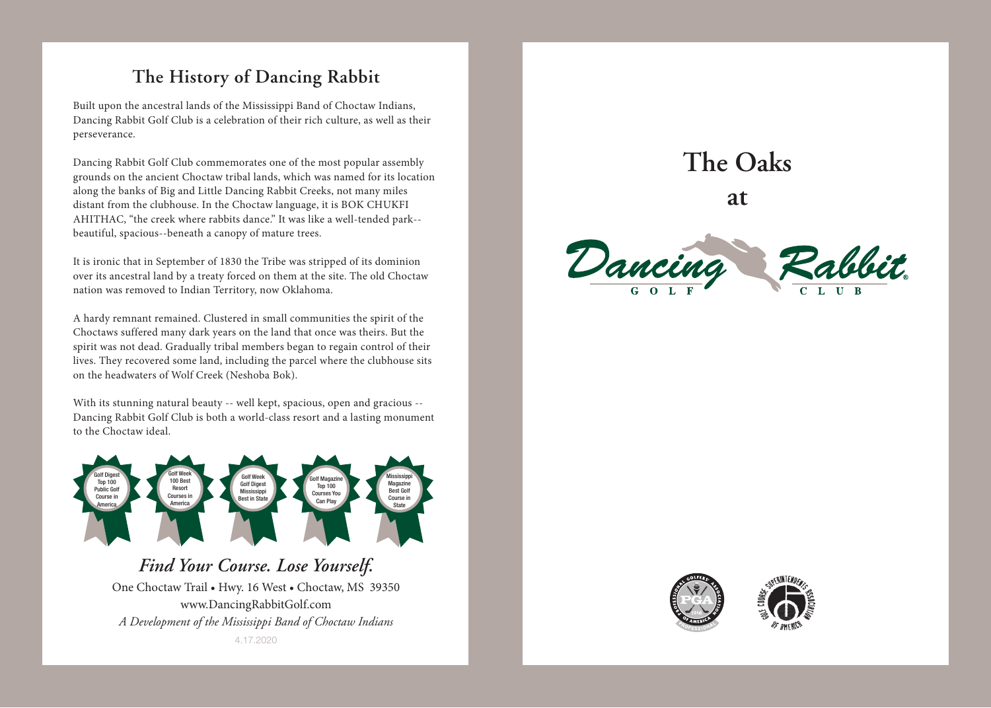## **The History of Dancing Rabbit**

Built upon the ancestral lands of the Mississippi Band of Choctaw Indians, Dancing Rabbit Golf Club is a celebration of their rich culture, as well as their perseverance.

Dancing Rabbit Golf Club commemorates one of the most popular assembly grounds on the ancient Choctaw tribal lands, which was named for its location along the banks of Big and Little Dancing Rabbit Creeks, not many miles distant from the clubhouse. In the Choctaw language, it is BOK CHUKFI AHITHAC, "the creek where rabbits dance." It was like a well-tended park- beautiful, spacious--beneath a canopy of mature trees.

It is ironic that in September of 1830 the Tribe was stripped of its dominion over its ancestral land by a treaty forced on them at the site. The old Choctaw nation was removed to Indian Territory, now Oklahoma.

A hardy remnant remained. Clustered in small communities the spirit of the Choctaws suffered many dark years on the land that once was theirs. But the spirit was not dead. Gradually tribal members began to regain control of their lives. They recovered some land, including the parcel where the clubhouse sits on the headwaters of Wolf Creek (Neshoba Bok).

With its stunning natural beauty -- well kept, spacious, open and gracious -- Dancing Rabbit Golf Club is both a world-class resort and a lasting monument to the Choctaw ideal.



*Find Your Course. Lose Yourself.* One Choctaw Trail • Hwy. 16 West • Choctaw, MS 39350 www.DancingRabbitGolf.com *A Development of the Mississippi Band of Choctaw Indians* 4.17.2020

## **The Oaks**

**at**